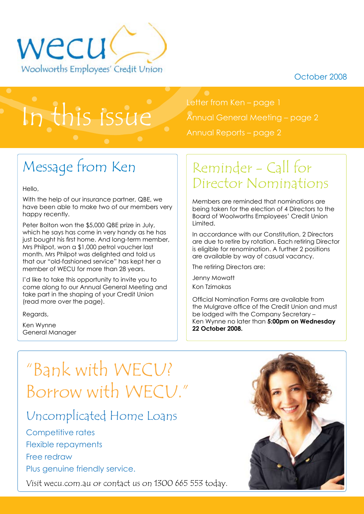#### October 2008



In this issue

Letter from Ken – page 1 Annual General Meeting – page 2 Annual Reports – page 2

## Message from Ken

Hello,

With the help of our insurance partner, QBE, we have been able to make two of our members very happy recently.

Peter Bolton won the \$5,000 QBE prize in July, which he says has come in very handy as he has just bought his first home. And long-term member, Mrs Philpot, won a \$1,000 petrol voucher last month. Mrs Philpot was delighted and told us that our "old-fashioned service" has kept her a member of WECU for more than 28 years.

I'd like to take this opportunity to invite you to come along to our Annual General Meeting and take part in the shaping of your Credit Union (read more over the page).

Regards,

Ken Wynne General Manager

### Reminder - Call for Director Nominations

Members are reminded that nominations are being taken for the election of 4 Directors to the Board of Woolworths Employees' Credit Union Limited.

In accordance with our Constitution, 2 Directors are due to retire by rotation. Each retiring Director is eligible for renomination. A further 2 positions are available by way of casual vacancy.

The retiring Directors are:

Jenny Mowatt Kon Tzimokas

Official Nomination Forms are available from the Mulgrave office of the Credit Union and must be lodged with the Company Secretary – Ken Wynne no later than **5:00pm on Wednesday 22 October 2008.**

# "Bank with WECU? Borrow with WECU."

### Uncomplicated Home Loans

Competitive rates

Flexible repayments

Free redraw

Plus genuine friendly service.

Visit wecu.com.au or contact us on 1300 665 553 today.